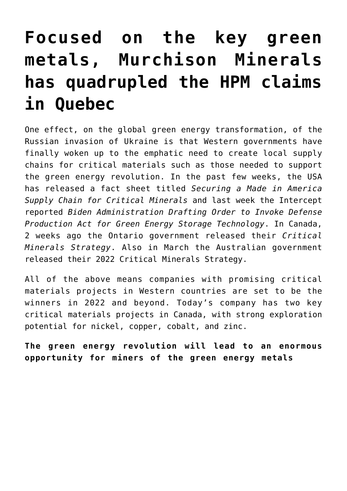# **[Focused on the key green](https://investorintel.com/markets/technology-metals/technology-metals-intel/focused-on-the-key-green-metals-murchison-minerals-has-quadrupled-the-hpm-claims-in-quebec/) [metals, Murchison Minerals](https://investorintel.com/markets/technology-metals/technology-metals-intel/focused-on-the-key-green-metals-murchison-minerals-has-quadrupled-the-hpm-claims-in-quebec/) [has quadrupled the HPM claims](https://investorintel.com/markets/technology-metals/technology-metals-intel/focused-on-the-key-green-metals-murchison-minerals-has-quadrupled-the-hpm-claims-in-quebec/) [in Quebec](https://investorintel.com/markets/technology-metals/technology-metals-intel/focused-on-the-key-green-metals-murchison-minerals-has-quadrupled-the-hpm-claims-in-quebec/)**

One effect, on the global green energy transformation, of the Russian invasion of Ukraine is that Western governments have finally woken up to the emphatic need to create local supply chains for critical materials such as those needed to support the green energy revolution. In the past few weeks, the USA has released a fact sheet titled *[Securing a Made in America](https://www.whitehouse.gov/briefing-room/statements-releases/2022/02/22/fact-sheet-securing-a-made-in-america-supply-chain-for-critical-minerals/) [Supply Chain for Critical](https://www.whitehouse.gov/briefing-room/statements-releases/2022/02/22/fact-sheet-securing-a-made-in-america-supply-chain-for-critical-minerals/) [Minerals](https://www.whitehouse.gov/briefing-room/statements-releases/2022/02/22/fact-sheet-securing-a-made-in-america-supply-chain-for-critical-minerals/)* and last week the Intercept reported *[Biden Administration Drafting Order to Invoke Defense](https://theintercept.com/2022/03/24/biden-defense-production-act-green-energy/) [Production Act for Green Energy Storage Technology](https://theintercept.com/2022/03/24/biden-defense-production-act-green-energy/)*[.](https://theintercept.com/2022/03/24/biden-defense-production-act-green-energy/) In Canada, 2 weeks ago the Ontario government released their *[Critical](https://news.ontario.ca/en/release/1001796/provinces-first-ever-critical-minerals-strategy-positions-ontario-as-global-leader) [Minerals Strategy](https://news.ontario.ca/en/release/1001796/provinces-first-ever-critical-minerals-strategy-positions-ontario-as-global-leader)*. Also in March the Australian government released their [2022 Critical Minerals Strategy](https://www.industry.gov.au/data-and-publications/2022-critical-minerals-strategy).

All of the above means companies with promising critical materials projects in Western countries are set to be the winners in 2022 and beyond. Today's company has two key critical materials projects in Canada, with strong exploration potential for nickel, copper, cobalt, and zinc.

**The green energy revolution will lead to an enormous opportunity for miners of the green energy metals**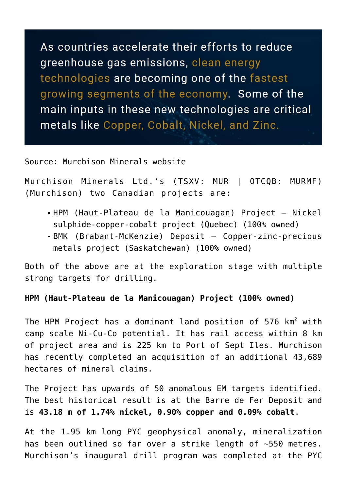As countries accelerate their efforts to reduce greenhouse gas emissions, clean energy technologies are becoming one of the fastest growing segments of the economy. Some of the main inputs in these new technologies are critical metals like Copper, Cobalt, Nickel, and Zinc.

#### Source: [Murchison Minerals website](https://murchisonminerals.ca/)

[Murchison Minerals Ltd.'](https://murchisonminerals.com/)s (TSXV: MUR | OTCQB: MURMF) (Murchison) two Canadian projects are:

- HPM (Haut-Plateau de la Manicouagan) Project Nickel sulphide‐copper‐cobalt project (Quebec) (100% owned)
- BMK (Brabant‐McKenzie) Deposit Copper‐zinc-precious metals project (Saskatchewan) (100% owned)

Both of the above are at the exploration stage with multiple strong targets for drilling.

## **HPM (Haut-Plateau de la Manicouagan) Project (100% owned)**

The HPM <code>Project</code> has a dominant land position of 576 km $^2$  with camp scale Ni-Cu-Co potential. It has rail access within 8 km of project area and is 225 km to Port of Sept Iles. Murchison has recently completed an [acquisition of an additional 43,689](https://investorintel.com/markets/technology-metals/technology-metals-news/murchison-minerals-quadruples-100-owned-hpm-land-package-as-a-result-of-the-inaugural-drill-program-at-the-ni-cu-co-project/) [hectares](https://investorintel.com/markets/technology-metals/technology-metals-news/murchison-minerals-quadruples-100-owned-hpm-land-package-as-a-result-of-the-inaugural-drill-program-at-the-ni-cu-co-project/) of mineral claims.

The Project has upwards of 50 anomalous EM targets identified. The [best historical result](https://murchisonminerals.ca/wp-content/uploads/2022/03/Murchison-Minerals-Corporate-11FEB2022-Final.pdf) is at the Barre de Fer Deposit and is **43.18 m of 1.74% nickel, 0.90% copper and 0.09% cobalt**.

At the 1.95 km long PYC geophysical anomaly, mineralization has been outlined so far over a strike length of ~550 metres. Murchison's inaugural drill program was completed at the PYC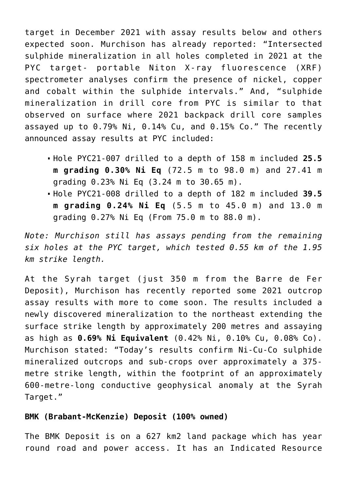target in December 2021 with assay results below and others expected soon. Murchison has already [reported:](https://investorintel.com/markets/technology-metals/technology-metals-news/murchison-minerals-quadruples-100-owned-hpm-land-package-as-a-result-of-the-inaugural-drill-program-at-the-ni-cu-co-project/) "Intersected sulphide mineralization in all holes completed in 2021 at the PYC target- portable Niton X-ray fluorescence (XRF) spectrometer analyses confirm the presence of nickel, copper and cobalt within the sulphide intervals." And, "sulphide mineralization in drill core from PYC is similar to that observed on surface where 2021 backpack drill core samples assayed up to 0.79% Ni, 0.14% Cu, and 0.15% Co." The recently [announced](https://investorintel.com/markets/technology-metals/technology-metals-news/murchison-minerals-confirms-broad-intervals-of-ni-cu-co-sulphide-mineralization-at-the-pyc-target-on-the-hpm-project-receives-first-batch-of-assay-results/) assay results at PYC included:

- Hole PYC21-007 drilled to a depth of 158 m included **25.5 m grading 0.30% Ni Eq** (72.5 m to 98.0 m) and 27.41 m grading 0.23% Ni Eq (3.24 m to 30.65 m).
- Hole PYC21-008 drilled to a depth of 182 m included **39.5 m grading 0.24% Ni Eq** (5.5 m to 45.0 m) and 13.0 m grading 0.27% Ni Eq (From 75.0 m to 88.0 m).

*Note: Murchison still has assays pending from the remaining six holes at the PYC target, which tested 0.55 km of the 1.95 km strike length.*

At the Syrah target (just 350 m from the Barre de Fer Deposit), Murchison has recently [reported](https://investorintel.com/markets/technology-metals/technology-metals-news/murchison-minerals-delineates-additional-ni-cu-co-mineralization-at-the-syrah-target-on-the-100-owned-hpm-project-in-quebec/) some 2021 outcrop assay results with more to come soon. The results included a newly discovered mineralization to the northeast extending the surface strike length by approximately 200 metres and assaying as high as **0.69% Ni Equivalent** (0.42% Ni, 0.10% Cu, 0.08% Co). Murchison [stated:](https://investorintel.com/markets/technology-metals/technology-metals-news/murchison-minerals-delineates-additional-ni-cu-co-mineralization-at-the-syrah-target-on-the-100-owned-hpm-project-in-quebec/) "Today's results confirm Ni-Cu-Co sulphide mineralized outcrops and sub-crops over approximately a 375 metre strike length, within the footprint of an approximately 600-metre-long conductive geophysical anomaly at the Syrah Target."

#### **BMK (Brabant‐McKenzie) Deposit (100% owned)**

The BMK Deposit is on a 627 km2 land package which has year round road and power access. It has an [Indicated Resource](https://murchisonminerals.com/site/assets/files/5818/murchison_minerals_corporate_presentation_september_14.pdf)